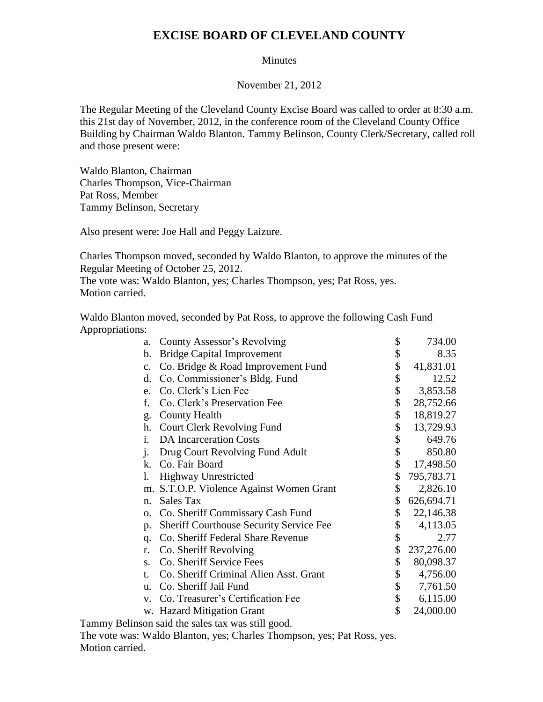## **EXCISE BOARD OF CLEVELAND COUNTY**

## **Minutes**

## November 21, 2012

The Regular Meeting of the Cleveland County Excise Board was called to order at 8:30 a.m. this 21st day of November, 2012, in the conference room of the Cleveland County Office Building by Chairman Waldo Blanton. Tammy Belinson, County Clerk/Secretary, called roll and those present were:

Waldo Blanton, Chairman Charles Thompson, Vice-Chairman Pat Ross, Member Tammy Belinson, Secretary

Also present were: Joe Hall and Peggy Laizure.

Charles Thompson moved, seconded by Waldo Blanton, to approve the minutes of the Regular Meeting of October 25, 2012.

The vote was: Waldo Blanton, yes; Charles Thompson, yes; Pat Ross, yes. Motion carried.

Waldo Blanton moved, seconded by Pat Ross, to approve the following Cash Fund Appropriations:

| a.             | County Assessor's Revolving                    | \$<br>734.00     |
|----------------|------------------------------------------------|------------------|
| b.             | <b>Bridge Capital Improvement</b>              | \$<br>8.35       |
| $\mathbf{c}$ . | Co. Bridge & Road Improvement Fund             | \$<br>41,831.01  |
| d.             | Co. Commissioner's Bldg. Fund                  | \$<br>12.52      |
| e.             | Co. Clerk's Lien Fee                           | \$<br>3,853.58   |
| f.             | Co. Clerk's Preservation Fee                   | \$<br>28,752.66  |
| g.             | <b>County Health</b>                           | \$<br>18,819.27  |
| h.             | <b>Court Clerk Revolving Fund</b>              | \$<br>13,729.93  |
| i.             | <b>DA</b> Incarceration Costs                  | \$<br>649.76     |
| $\mathbf{i}$ . | Drug Court Revolving Fund Adult                | \$<br>850.80     |
| $k_{\cdot}$    | Co. Fair Board                                 | \$<br>17,498.50  |
| 1.             | <b>Highway Unrestricted</b>                    | \$<br>795,783.71 |
| m.             | S.T.O.P. Violence Against Women Grant          | \$<br>2,826.10   |
| n.             | <b>Sales Tax</b>                               | \$<br>626,694.71 |
| 0.             | Co. Sheriff Commissary Cash Fund               | \$<br>22,146.38  |
| p.             | <b>Sheriff Courthouse Security Service Fee</b> | \$<br>4,113.05   |
| q.             | Co. Sheriff Federal Share Revenue              | \$<br>2.77       |
| r.             | Co. Sheriff Revolving                          | \$<br>237,276.00 |
| $S_{\tau}$     | Co. Sheriff Service Fees                       | \$<br>80,098.37  |
| t.             | Co. Sheriff Criminal Alien Asst. Grant         | \$<br>4,756.00   |
| u.             | Co. Sheriff Jail Fund                          | \$<br>7,761.50   |
| $V_{\star}$    | Co. Treasurer's Certification Fee              | \$<br>6,115.00   |
|                | w. Hazard Mitigation Grant                     | \$<br>24,000.00  |
|                |                                                |                  |

Tammy Belinson said the sales tax was still good. The vote was: Waldo Blanton, yes; Charles Thompson, yes; Pat Ross, yes. Motion carried.